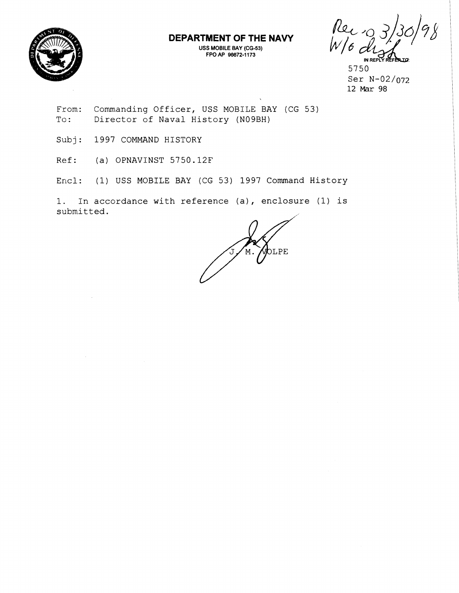

## **DEPARTMENT OF THE NAVY**

**USS MOBILE BAY (CG-53) FPO AP 96672-1 173** 

Rec<br>W/c **IN REPLY REFI** 

5750 Ser N-02/072 **12** Mar 98

From: Commanding Officer, USS MOBILE BAY (CG 53) To: Director of Naval History (N09BH)

Subj: 1997 COMMAND HISTORY

Ref: (a) OPNAVINST 5750.12F

Encl: (1) USS MOBILE BAY (CG 53) 1997 Command History

1. In accordance with reference (a), enclosure (1) is submitted.

PTE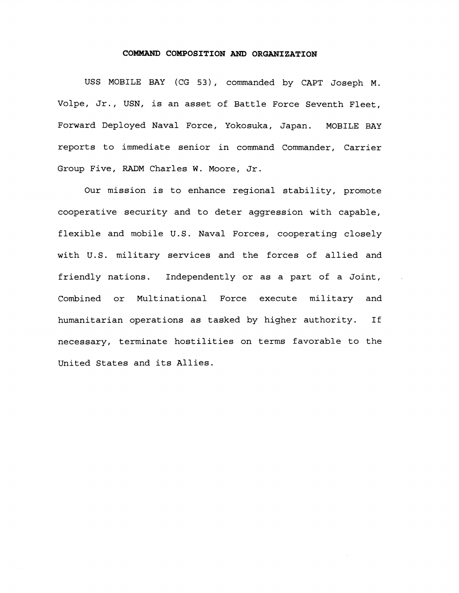## **COMMAND COMPOSITION AND ORGANIZATION**

USS MOBILE BAY (CG 53), commanded by CAPT Joseph M. Volpe, Jr., USN, is an asset of Battle Force Seventh Fleet, Forward Deployed Naval Force, Yokosuka, Japan. MOBILE BAY reports to immediate senior in command Commander, Carrier Group Five, RADM Charles W. Moore, Jr.

Our mission is to enhance regional stability, promote cooperative security and to deter aggression with capable, flexible and mobile U.S. Naval Forces, cooperating closely with U.S. military services and the forces of allied and friendly nations. Independently or as a part of a Joint, Combined or Multinational Force execute military and humanitarian operations as tasked by higher authority. If necessary, terminate hostilities on terms favorable to the United States and its Allies.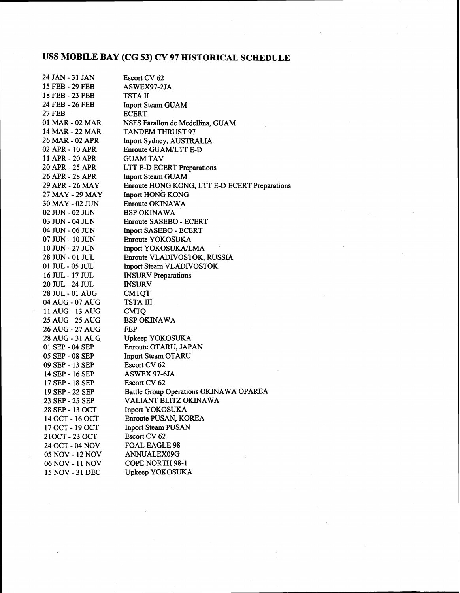## **USS NIOBILE BAY (CG 53) CY 97 HISTORICAL SCHEDULE**

| 24 JAN - 31 JAN | Escort CV 62                                  |
|-----------------|-----------------------------------------------|
| 15 FEB - 29 FEB | ASWEX97-2JA                                   |
| 18 FEB - 23 FEB | TSTA II                                       |
| 24 FEB - 26 FEB | Inport Steam GUAM                             |
| 27 FEB          | <b>ECERT</b>                                  |
| 01 MAR - 02 MAR | NSFS Farallon de Medellina, GUAM              |
| 14 MAR - 22 MAR | <b>TANDEM THRUST 97</b>                       |
| 26 MAR - 02 APR | Inport Sydney, AUSTRALIA                      |
| 02 APR - 10 APR | Enroute GUAM/LTT E-D                          |
| 11 APR - 20 APR | <b>GUAM TAV</b>                               |
| 20 APR - 25 APR | LTT E-D ECERT Preparations                    |
| 26 APR - 28 APR | <b>Inport Steam GUAM</b>                      |
| 29 APR - 26 MAY | Enroute HONG KONG, LTT E-D ECERT Preparations |
| 27 MAY - 29 MAY | <b>Inport HONG KONG</b>                       |
| 30 MAY - 02 JUN | Enroute OKINAWA                               |
| 02 JUN - 02 JUN | <b>BSP OKINAWA</b>                            |
| 03 JUN - 04 JUN | <b>Enroute SASEBO - ECERT</b>                 |
| 04 JUN - 06 JUN | <b>Inport SASEBO - ECERT</b>                  |
| 07 JUN - 10 JUN | Enroute YOKOSUKA                              |
| 10 JUN - 27 JUN | Inport YOKOSUKA/LMA                           |
| 28 JUN - 01 JUL | Enroute VLADIVOSTOK, RUSSIA                   |
| 01 JUL - 05 JUL | Inport Steam VLADIVOSTOK                      |
| 16 JUL - 17 JUL | <b>INSURV</b> Preparations                    |
| 20 JUL - 24 JUL | <b>INSURV</b>                                 |
| 28 JUL - 01 AUG | <b>CMTQT</b>                                  |
| 04 AUG - 07 AUG | TSTA III                                      |
| 11 AUG - 13 AUG | <b>CMTQ</b>                                   |
| 25 AUG - 25 AUG | <b>BSP OKINAWA</b>                            |
| 26 AUG - 27 AUG | <b>FEP</b>                                    |
| 28 AUG - 31 AUG | Upkeep YOKOSUKA                               |
| 01 SEP - 04 SEP | Enroute OTARU, JAPAN                          |
| 05 SEP - 08 SEP | <b>Inport Steam OTARU</b>                     |
| 09 SEP - 13 SEP | Escort CV 62                                  |
| 14 SEP - 16 SEP | ASWEX 97-6JA                                  |
| 17 SEP - 18 SEP | Escort CV 62                                  |
| 19 SEP - 22 SEP | Battle Group Operations OKINAWA OPAREA        |
| 23 SEP - 25 SEP | VALIANT BLITZ OKINAWA                         |
| 28 SEP - 13 OCT | <b>Inport YOKOSUKA</b>                        |
| 14 OCT - 16 OCT | Enroute PUSAN, KOREA                          |
| 17 OCT - 19 OCT | <b>Inport Steam PUSAN</b>                     |
| 210CT-23 OCT    | Escort CV 62                                  |
| 24 OCT - 04 NOV | <b>FOAL EAGLE 98</b>                          |
| 05 NOV - 12 NOV | ANNUALEX09G                                   |
| 06 NOV - 11 NOV | <b>COPE NORTH 98-1</b>                        |
| 15 NOV - 31 DEC | Upkeep YOKOSUKA                               |
|                 |                                               |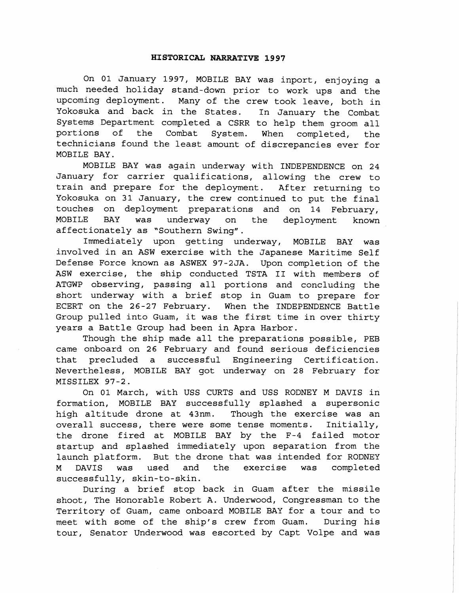## **HISTORICAL NARRATIVE 1997**

On 01 January 1997, MOBILE BAY was inport, enjoying a much needed holiday stand-down prior to work ups and the upcoming deployment. Many of the crew took leave, both in Yokosuka and back in the States. In January the Combat Systems Department completed a CSRR to help them groom all portions of the Combat System. When completed, the technicians found the least amount of discrepancies ever for MOBILE BAY.

MOBILE BAY was again underway with INDEPENDENCE on 24 January for carrier qualifications, allowing the crew to train and prepare for the deployment. After returning to Yokosuka on 31 January, the crew continued to put the final touches on deployment preparations and on 14 February, MOBILE BAY was underway on the deployment known affectionately as "Southern Swing".

Immediately upon getting underway, MOBILE BAY was involved in an ASW exercise with the Japanese Maritime Self Defense Force known as ASWEX 97-2JA. Upon completion of the ASW exercise, the ship conducted TSTA I1 with members of ATGWP observing, passing all portions and concluding the short underway with a brief stop in Guam to prepare for ECERT on the 26-27 February. When the INDEPENDENCE Battle Group pulled into Guam, it was the first time in over thirty years a Battle Group had been in Apra Harbor.

Though the ship made all the preparations possible, PEB came onboard on 26 February and found serious deficiencies that precluded a successful Engineering Certification. Nevertheless, MOBILE BAY got underway on 28 February for MISSILEX 97-2.

On 01 March, with USS CURTS and USS RODNEY M DAVIS in formation, MOBILE RAY successfully splashed a supersonic high altitude drone at 43nm. Though the exercise was an overall success, there were some tense moments. Initially, the drone fired at. MOBILE BAY by the F-4 failed motor startup and splashed immediately upon separation from the launch platform. But the drone that was intended for RODNEY M DAVIS was used and the exercise was completed successfully, skin-to-skin.

During a brief stop back in Guam after the missile shoot, The Honorable Robert A. Underwood, Congressman to the Territory of Guam, came onboard MOBILE BAY for a tour and to meet with some of the ship's crew from Guam. During his tour, Senator Underwood was escorted by Capt Volpe and was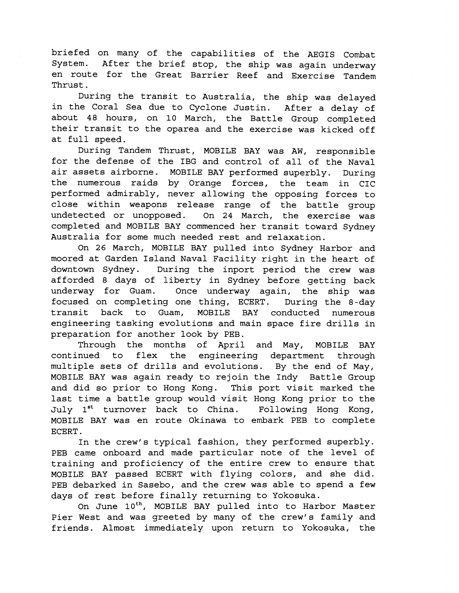briefed on many of the capabilities of the AEGIS Combat System. After the brief stop, the ship was again underway en route for the Great Barrier Reef and Exercise Tandem Thrust.

During the transit to Australia, the ship was delayed in the Coral Sea due to Cyclone Justin. After a delay of about 48 hours, on 10 March, the Battle Group completed their transit to the oparea and the exercise was kicked off at full speed.

During Tandem Thrust, MOBILE BAY was AW, responsible for the defense of the IBG and control of all of the Naval air assets airborne. MOBILE BAY performed superbly. During the numerous raids by Orange forces, the team in CIC performed admirably, never allowing the opposing forces to close within weapons release range of the battle group undetected or unopposed. On 24 March, the exercise was completed and MOBILE BAY commenced her transit toward Sydney Australia for some much needed rest and relaxation.

On 26 March, MOBILE BAY pulled into Sydney Harbor and moored at Garden Island Naval Facility right in the heart of downtown Sydney. During the inport period the crew was afforded 8 days of liberty in Sydney before getting back underway for Guam. Once underway again, the ship was focused on completing one thing, ECERT. During the 8-day transit back to Guam, MOBILE BAY conducted numerous engineering tasking evolutions and main space fire drills in preparation for another look by PEB.

Through the months of April and May, MOBILE BAY continued to flex the engineering department through multiple sets of drills and evolutions. By the end of May, MOBILE BAY was again ready to rejoin the Indy Battle Group and did so prior to Hong Kong. This port visit marked the last time a battle group would visit Hong Kong prior to the July 1<sup>st</sup> turnover back to China. Following Hong Kong, MOBILE BAY was en route Okinawa to embark PEB to complete ECERT .

In the crew's typical fashion, they performed superbly. PEB came onboard and made particular note of the level of training and proficiency of the entire crew to ensure that MOBILE BAY passed ECERT with flying colors, and she did. PEB debarked in Sasebo, and the crew was able to spend a few days of rest before finally returning to Yokosuka.

On June 10<sup>th</sup>, MOBILE BAY pulled into to Harbor Master Pier West and was greeted by many of the crew's family and friends. Almost immediately upon return to Yokosuka, the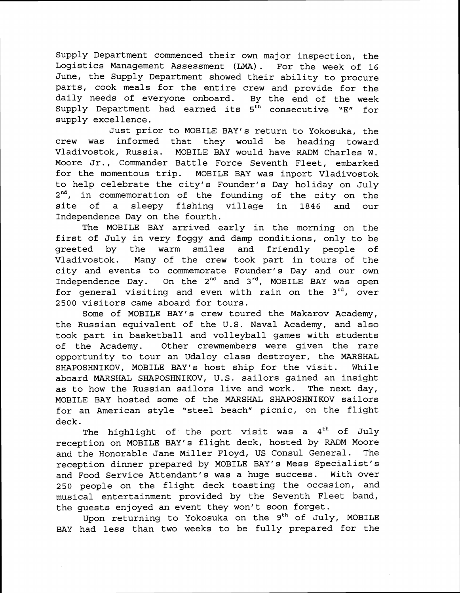Supply Department commenced their own major inspection, the Logistics Management Assessment (LMA). For the week of 16 June, the Supply Department showed their ability to procure parts, cook meals for the entire crew and provide for the daily needs of everyone onboard. By the end of the week Supply Department had earned its 5<sup>th</sup> consecutive "E" for supply excellence.

Just prior to MOBILE BAY'S return to Yokosuka, the crew was informed that they would be heading toward Vladivostok, Russia. MOBILE BAY would have RADM Charles W. Moore Jr., Commander Battle Force Seventh Fleet, embarked for the momentous trip. MOBILE BAY was inport Vladivostok to help celebrate the city's Founder's Day holiday on July 2<sup>nd</sup>, in commemoration of the founding of the city on the site of a sleepy fishing village in 1846 and our Independence Day on the fourth.

The MOBILE BAY arrived early in the morning on the first of July in very foggy and damp conditions, only to be greeted by the warm smiles and friendly people of Vladivostok. Many of the crew took part in tours of the city and events to commemorate Founder's Day and our own Independence Day. On the  $2^{nd}$  and  $3^{rd}$ , MOBILE BAY was open for general visiting and even with rain on the  $3^{rd}$ , over 2500 visitors came aboard for tours.

Some of MOBILE BAY'S crew toured the Makarov Academy, the Russian equivalent of the U.S. Naval Academy, and also took part in basketball and volleyball games with students of the Academy. Other crewmembers were given the rare opportunity to tour an Udaloy class destroyer, the MARSHAL SHAPOSHNIKOV, MOBILE BAY's host ship for the visit. While aboard MARSHAL SHAPOSHNIKOV, U.S. sailors gained an insight as to how the Russian sailors live and work. The next day, MOBILE BAY hosted some of the MARSHAL SHAPOSHNIKOV sailors for an American style "steel beach" picnic, on the flight deck.

The highlight of the port visit was a 4<sup>th</sup> of July reception on MOBILE BAY's flight deck, hosted by RADM Moore and the Honorable Jane Miller Floyd, US Consul General. The reception dinner prepared by MOBILE BAY's Mess Specialist's and Food Service Attendant's was a huge success. With over 250 people on the flight deck toasting the occasion, and musical entertainment provided by the Seventh Fleet band, the quests enjoyed an event they won't soon forget.

Upon returning to Yokosuka on the 9<sup>th</sup> of July, MOBILE BAY had less than two weeks to be fully prepared for the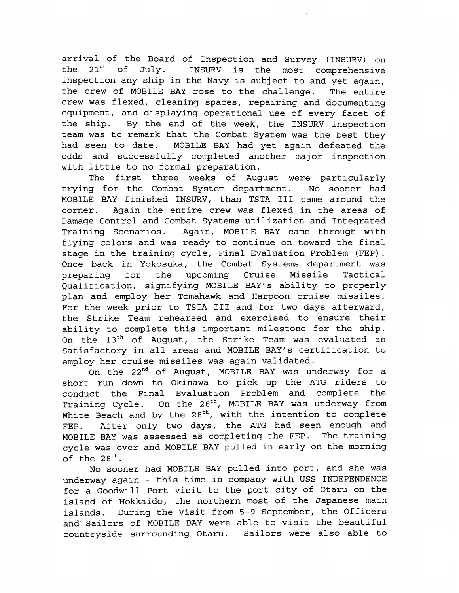arrival of the Board of Inspection and Survey (INSURV) on the  $21^{st}$  of July. INSURV is the most comprehensive inspection any ship in the Navy is subject to and yet again, the crew of MOBILE BAY rose to the challenge. The entire crew was flexed, cleaning spaces, repairing and documenting equipment, and displaying operational use of every facet of the ship. By the end of the week, the INSURV inspection team was to remark that the Combat System was the best they had seen to date. MOBILE BAY had yet again defeated the odds and successfully completed another major inspection with little to no formal preparation.

The first three weeks of August were particularly trying for the Combat System department. No sooner had MOBILE BAY finished INSURV, than TSTA I11 came around the corner. Again the entire crew was flexed in the areas of Damage Control and Combat Systems utilization and Integrated Training Scenarios. Again, MOBILE BAY came through with flying colors and was ready to continue on toward the final stage in the training cycle, Final Evaluation Problem (FEP). Once back in Yokosuka, the Combat Systems department was preparing for the upcoming Cruise Missile Tactical Qualification, signifying MOBILE BAY'S ability to properly plan and employ her Tomahawk and Harpoon cruise missiles. For the week prior to TSTA I11 and for two days afterward, the Strike Team rehearsed and exercised to ensure their ability to complete this important milestone for the ship. On the 13<sup>th</sup> of August, the Strike Team was evaluated as Satisfactory in all areas and MOBILE BAY's certification to employ her cruise missiles was again validated.

On the 22<sup>nd</sup> of August, MOBILE BAY was underway for a short run down to Okinawa to pick up the ATG riders to conduct the Final Evaluation Problem and complete the Training Cycle. On the 26<sup>th</sup>, MOBILE BAY was underway from White Beach and by the  $28<sup>th</sup>$ , with the intention to complete FEP. After only two days, the ATG had seen enough and MOBILE BAY was assessed as completing the FEP. The training cycle was over and MOBILE BAY pulled in early on the morning of the  $28^{th}$ .

No sooner had MOBILE BAY pulled into port, and she was underway again - this time in company with USS INDEPENDENCE for a Goodwill Port visit to the port city of Otaru on the island of Hokkaido, the northern most of the Japanese main islands. During the visit from 5-9 September, the Officers and Sailors of MOBILE BAY were able to visit the beautiful countryside surrounding Otaru. Sailors were also able to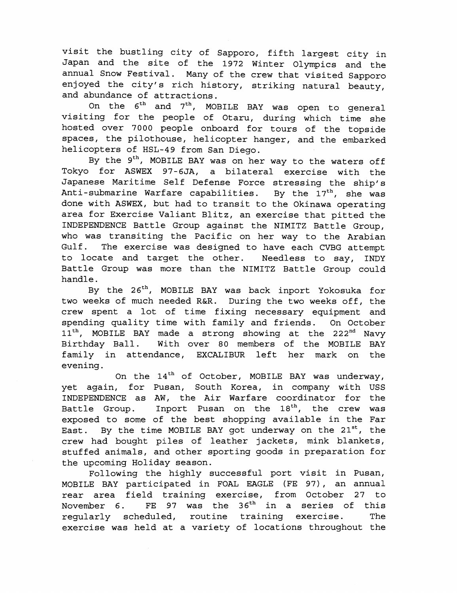visit the bustling city of Sapporo, fifth largest city in Japan and the site of the 1972 Winter Olympics and the annual Snow Festival. Many of the crew that visited Sapporo enjoyed the city's rich history, striking natural beauty, and abundance of attractions.

On the  $6^{th}$  and  $7^{th}$ , MOBILE BAY was open to general visiting for the people of Otaru, during which time she hosted over 7000 people onboard for tours of the topside spaces, the pilothouse, helicopter hanger, and the embarked helicopters of HSL-49 from San Diego.

By the 9<sup>th</sup>, MOBILE BAY was on her way to the waters off Tokyo for ASWEX 97-6JA, a bilateral exercise with the Japanese Maritime Self Defense Force stressing the ship's Anti-submarine Warfare capabilities. By the  $17<sup>th</sup>$ , she was done with ASWEX, but had to transit to the Okinawa operating area for Exercise Valiant Blitz, an exercise that pitted the INDEPENDENCE Battle Group against the NIMITZ Battle Group, who was transiting the Pacific on her way to the Arabian Gulf. The exercise was designed to have each CVBG attempt to locate and target the other. Needless to say, INDY Battle Group was more than the NIMITZ Battle Group could handle.

By the 26<sup>th</sup>, MOBILE BAY was back inport Yokosuka for two weeks of much needed R&R. During the two weeks off, the crew spent a lot of time fixing necessary equipment and spending quality time with family and friends. On October 11<sup>th</sup>, MOBILE BAY made a strong showing at the 222<sup>nd</sup> Navy<br>Birthday Ball. With over 80 members of the MOBILE BAY With over 80 members of the MOBILE BAY family in attendance, EXCALIBUR left her mark on the evening.

On the  $14<sup>th</sup>$  of October, MOBILE BAY was underway, yet again, for Pusan, South Korea, in company with USS INDEPENDENCE as AW, the Air Warfare coordinator for the Battle Group. Inport Pusan on the  $18<sup>th</sup>$ , the crew was exposed to some of the best shopping available in the Far East. By the time MOBILE BAY got underway on the  $21^{st}$ , the crew had bought piles of leather jackets, mink blankets, stuffed animals, and other sporting goods in preparation for the upcoming Holiday season.

Following the highly successful port visit in Pusan, MOBILE BAY participated in FOAL EAGLE (FE 97), an annual rear area field training exercise, from October 27 to November 6. FE 97 was the 36<sup>th</sup> in a series of this regularly scheduled, routine training exercise. The exercise was held at a variety of locations throughout the